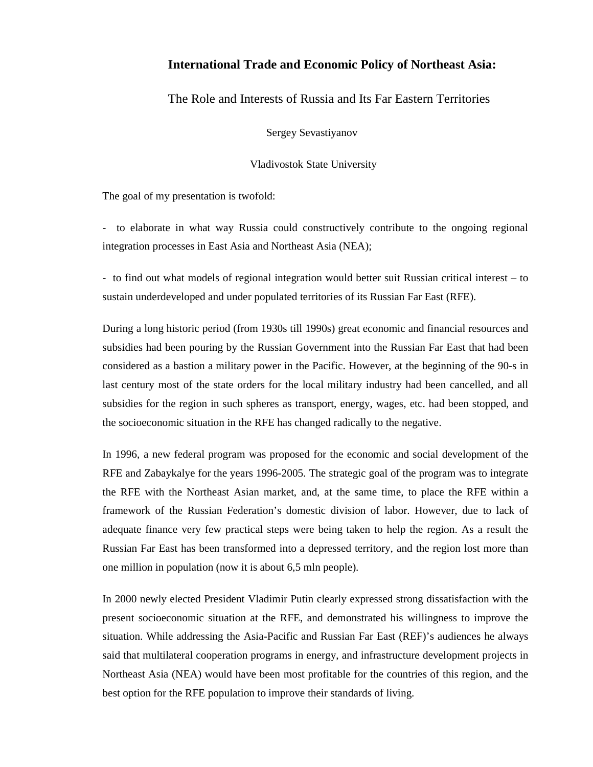# **International Trade and Economic Policy of Northeast Asia:**

The Role and Interests of Russia and Its Far Eastern Territories

Sergey Sevastiyanov

Vladivostok State University

The goal of my presentation is twofold:

- to elaborate in what way Russia could constructively contribute to the ongoing regional integration processes in East Asia and Northeast Asia (NEA);

- to find out what models of regional integration would better suit Russian critical interest – to sustain underdeveloped and under populated territories of its Russian Far East (RFE).

During a long historic period (from 1930s till 1990s) great economic and financial resources and subsidies had been pouring by the Russian Government into the Russian Far East that had been considered as a bastion a military power in the Pacific. However, at the beginning of the 90-s in last century most of the state orders for the local military industry had been cancelled, and all subsidies for the region in such spheres as transport, energy, wages, etc. had been stopped, and the socioeconomic situation in the RFE has changed radically to the negative.

In 1996, a new federal program was proposed for the economic and social development of the RFE and Zabaykalye for the years 1996-2005. The strategic goal of the program was to integrate the RFE with the Northeast Asian market, and, at the same time, to place the RFE within a framework of the Russian Federation's domestic division of labor. However, due to lack of adequate finance very few practical steps were being taken to help the region. As a result the Russian Far East has been transformed into a depressed territory, and the region lost more than one million in population (now it is about 6,5 mln people).

In 2000 newly elected President Vladimir Putin clearly expressed strong dissatisfaction with the present socioeconomic situation at the RFE, and demonstrated his willingness to improve the situation. While addressing the Asia-Pacific and Russian Far East (REF)'s audiences he always said that multilateral cooperation programs in energy, and infrastructure development projects in Northeast Asia (NEA) would have been most profitable for the countries of this region, and the best option for the RFE population to improve their standards of living.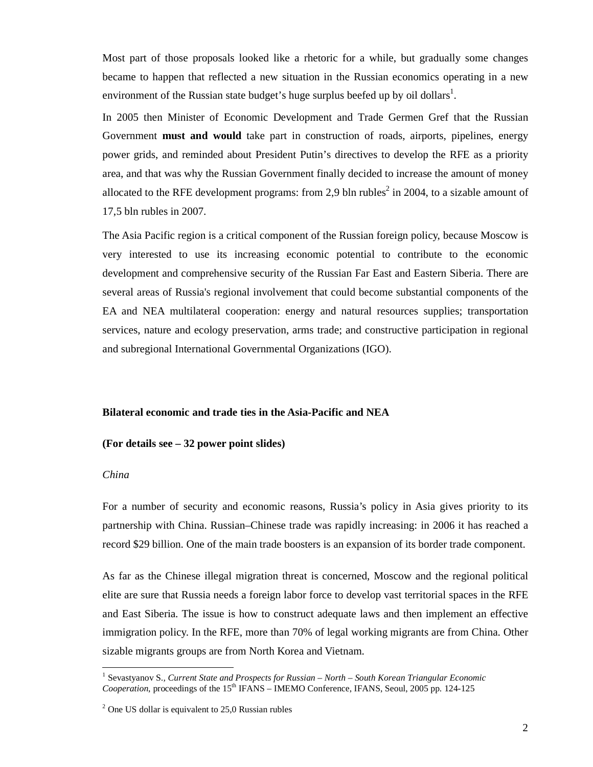Most part of those proposals looked like a rhetoric for a while, but gradually some changes became to happen that reflected a new situation in the Russian economics operating in a new environment of the Russian state budget's huge surplus beefed up by oil dollars<sup>1</sup>.

In 2005 then Minister of Economic Development and Trade Germen Gref that the Russian Government **must and would** take part in construction of roads, airports, pipelines, energy power grids, and reminded about President Putin's directives to develop the RFE as a priority area, and that was why the Russian Government finally decided to increase the amount of money allocated to the RFE development programs: from 2,9 bln rubles<sup>2</sup> in 2004, to a sizable amount of 17,5 bln rubles in 2007.

The Asia Pacific region is a critical component of the Russian foreign policy, because Moscow is very interested to use its increasing economic potential to contribute to the economic development and comprehensive security of the Russian Far East and Eastern Siberia. There are several areas of Russia's regional involvement that could become substantial components of the EA and NEA multilateral cooperation: energy and natural resources supplies; transportation services, nature and ecology preservation, arms trade; and constructive participation in regional and subregional International Governmental Organizations (IGO).

### **Bilateral economic and trade ties in the Asia-Pacific and NEA**

### **(For details see – 32 power point slides)**

#### *China*

 $\overline{a}$ 

For a number of security and economic reasons, Russia's policy in Asia gives priority to its partnership with China. Russian–Chinese trade was rapidly increasing: in 2006 it has reached a record \$29 billion. One of the main trade boosters is an expansion of its border trade component.

As far as the Chinese illegal migration threat is concerned, Moscow and the regional political elite are sure that Russia needs a foreign labor force to develop vast territorial spaces in the RFE and East Siberia. The issue is how to construct adequate laws and then implement an effective immigration policy. In the RFE, more than 70% of legal working migrants are from China. Other sizable migrants groups are from North Korea and Vietnam.

<sup>&</sup>lt;sup>1</sup> Sevastyanov S., Current State and Prospects for Russian – North – South Korean Triangular Economic *Cooperation*, proceedings of the 15<sup>th</sup> IFANS – IMEMO Conference, IFANS, Seoul, 2005 pp. 124-125

 $2^2$  One US dollar is equivalent to 25,0 Russian rubles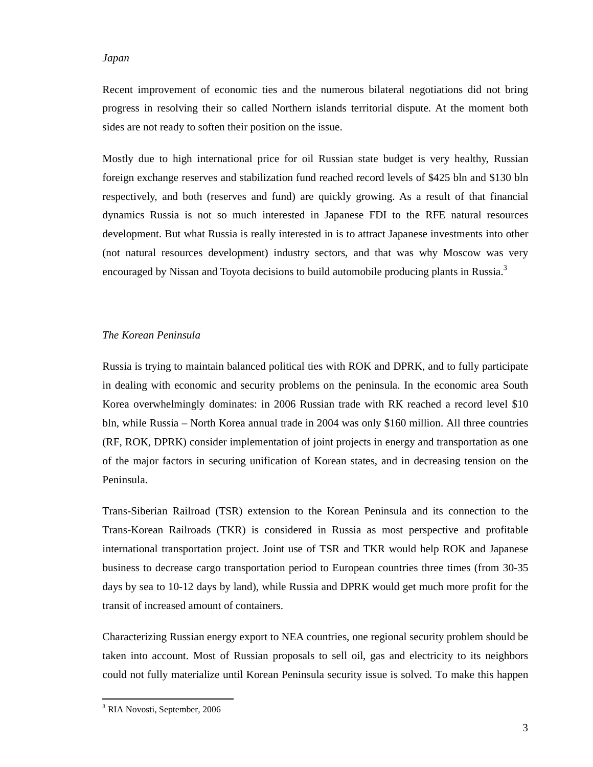### *Japan*

Recent improvement of economic ties and the numerous bilateral negotiations did not bring progress in resolving their so called Northern islands territorial dispute. At the moment both sides are not ready to soften their position on the issue.

Mostly due to high international price for oil Russian state budget is very healthy, Russian foreign exchange reserves and stabilization fund reached record levels of \$425 bln and \$130 bln respectively, and both (reserves and fund) are quickly growing. As a result of that financial dynamics Russia is not so much interested in Japanese FDI to the RFE natural resources development. But what Russia is really interested in is to attract Japanese investments into other (not natural resources development) industry sectors, and that was why Moscow was very encouraged by Nissan and Toyota decisions to build automobile producing plants in Russia.<sup>3</sup>

### *The Korean Peninsula*

Russia is trying to maintain balanced political ties with ROK and DPRK, and to fully participate in dealing with economic and security problems on the peninsula. In the economic area South Korea overwhelmingly dominates: in 2006 Russian trade with RK reached a record level \$10 bln, while Russia – North Korea annual trade in 2004 was only \$160 million. All three countries (RF, ROK, DPRK) consider implementation of joint projects in energy and transportation as one of the major factors in securing unification of Korean states, and in decreasing tension on the Peninsula.

Trans-Siberian Railroad (TSR) extension to the Korean Peninsula and its connection to the Trans-Korean Railroads (TKR) is considered in Russia as most perspective and profitable international transportation project. Joint use of TSR and TKR would help ROK and Japanese business to decrease cargo transportation period to European countries three times (from 30-35 days by sea to 10-12 days by land), while Russia and DPRK would get much more profit for the transit of increased amount of containers.

Characterizing Russian energy export to NEA countries, one regional security problem should be taken into account. Most of Russian proposals to sell oil, gas and electricity to its neighbors could not fully materialize until Korean Peninsula security issue is solved. To make this happen

 $\overline{a}$ 

<sup>3</sup> RIA Novosti, September, 2006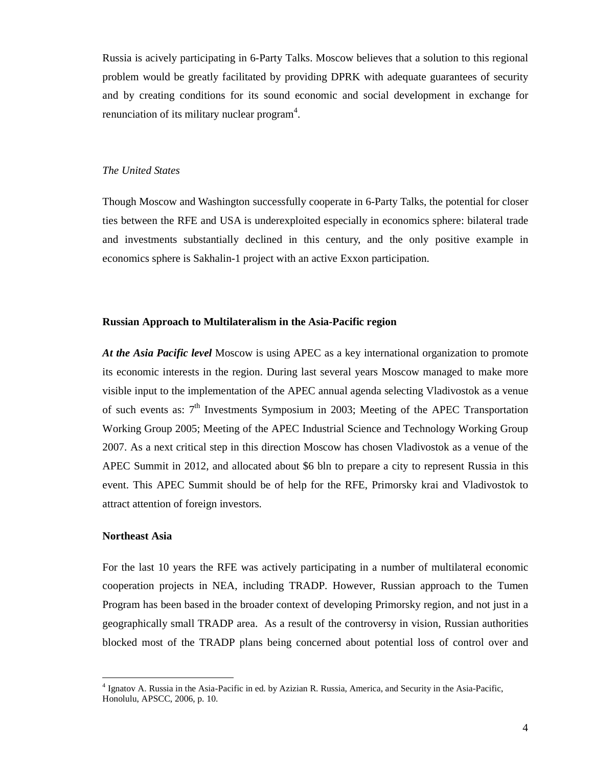Russia is acively participating in 6-Party Talks. Moscow believes that a solution to this regional problem would be greatly facilitated by providing DPRK with adequate guarantees of security and by creating conditions for its sound economic and social development in exchange for renunciation of its military nuclear program $4$ .

#### *The United States*

Though Moscow and Washington successfully cooperate in 6-Party Talks, the potential for closer ties between the RFE and USA is underexploited especially in economics sphere: bilateral trade and investments substantially declined in this century, and the only positive example in economics sphere is Sakhalin-1 project with an active Exxon participation.

#### **Russian Approach to Multilateralism in the Asia-Pacific region**

*At the Asia Pacific level* Moscow is using APEC as a key international organization to promote its economic interests in the region. During last several years Moscow managed to make more visible input to the implementation of the APEC annual agenda selecting Vladivostok as a venue of such events as:  $7<sup>th</sup>$  Investments Symposium in 2003; Meeting of the APEC Transportation Working Group 2005; Meeting of the APEC Industrial Science and Technology Working Group 2007. As a next critical step in this direction Moscow has chosen Vladivostok as a venue of the APEC Summit in 2012, and allocated about \$6 bln to prepare a city to represent Russia in this event. This APEC Summit should be of help for the RFE, Primorsky krai and Vladivostok to attract attention of foreign investors.

#### **Northeast Asia**

 $\overline{a}$ 

For the last 10 years the RFE was actively participating in a number of multilateral economic cooperation projects in NEA, including TRADP. However, Russian approach to the Tumen Program has been based in the broader context of developing Primorsky region, and not just in a geographically small TRADP area. As a result of the controversy in vision, Russian authorities blocked most of the TRADP plans being concerned about potential loss of control over and

<sup>&</sup>lt;sup>4</sup> Ignatov A. Russia in the Asia-Pacific in ed. by Azizian R. Russia, America, and Security in the Asia-Pacific, Honolulu, APSCC, 2006, p. 10.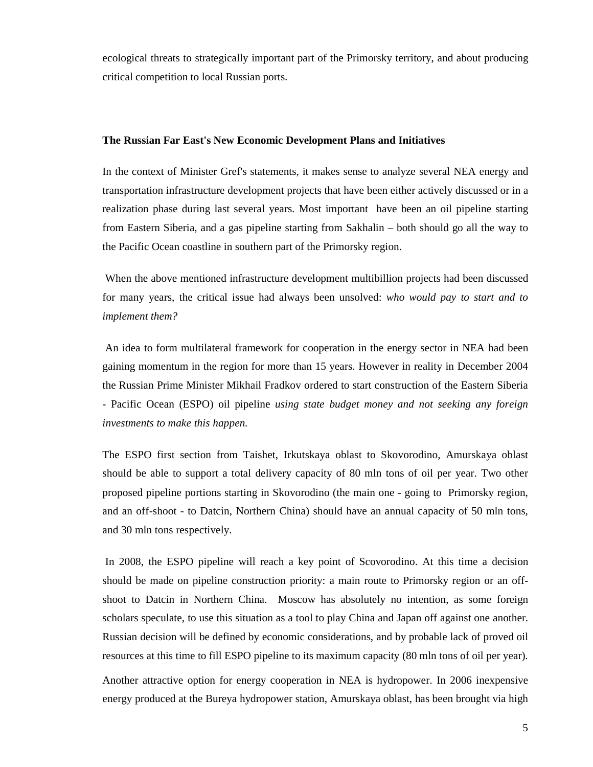ecological threats to strategically important part of the Primorsky territory, and about producing critical competition to local Russian ports.

#### **The Russian Far East's New Economic Development Plans and Initiatives**

In the context of Minister Gref's statements, it makes sense to analyze several NEA energy and transportation infrastructure development projects that have been either actively discussed or in a realization phase during last several years. Most important have been an oil pipeline starting from Eastern Siberia, and a gas pipeline starting from Sakhalin – both should go all the way to the Pacific Ocean coastline in southern part of the Primorsky region.

 When the above mentioned infrastructure development multibillion projects had been discussed for many years, the critical issue had always been unsolved: *who would pay to start and to implement them?* 

 An idea to form multilateral framework for cooperation in the energy sector in NEA had been gaining momentum in the region for more than 15 years. However in reality in December 2004 the Russian Prime Minister Mikhail Fradkov ordered to start construction of the Eastern Siberia - Pacific Ocean (ESPO) oil pipeline *using state budget money and not seeking any foreign investments to make this happen.*

The ESPO first section from Taishet, Irkutskaya oblast to Skovorodino, Amurskaya oblast should be able to support a total delivery capacity of 80 mln tons of oil per year. Two other proposed pipeline portions starting in Skovorodino (the main one - going to Primorsky region, and an off-shoot - to Datcin, Northern China) should have an annual capacity of 50 mln tons, and 30 mln tons respectively.

 In 2008, the ESPO pipeline will reach a key point of Scovorodino. At this time a decision should be made on pipeline construction priority: a main route to Primorsky region or an offshoot to Datcin in Northern China. Moscow has absolutely no intention, as some foreign scholars speculate, to use this situation as a tool to play China and Japan off against one another. Russian decision will be defined by economic considerations, and by probable lack of proved oil resources at this time to fill ESPO pipeline to its maximum capacity (80 mln tons of oil per year).

Another attractive option for energy cooperation in NEA is hydropower. In 2006 inexpensive energy produced at the Bureya hydropower station, Amurskaya oblast, has been brought via high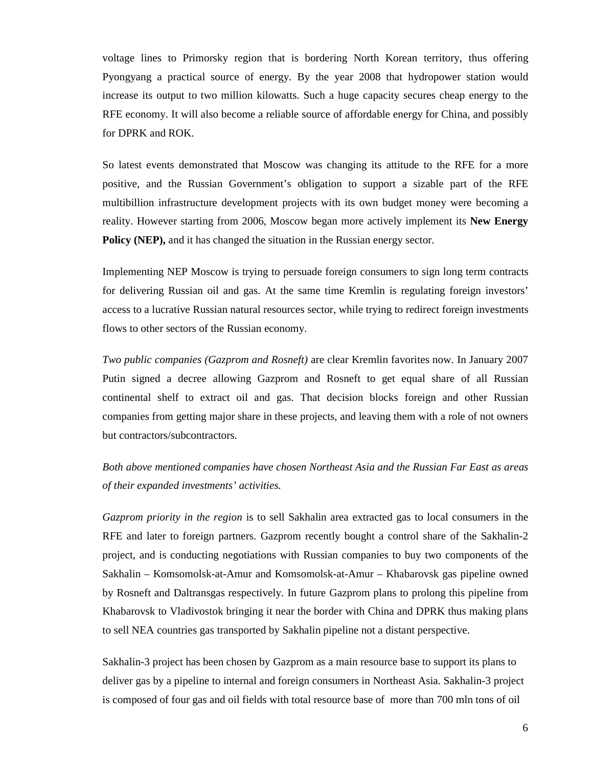voltage lines to Primorsky region that is bordering North Korean territory, thus offering Pyongyang a practical source of energy. By the year 2008 that hydropower station would increase its output to two million kilowatts. Such a huge capacity secures cheap energy to the RFE economy. It will also become a reliable source of affordable energy for China, and possibly for DPRK and ROK.

So latest events demonstrated that Moscow was changing its attitude to the RFE for a more positive, and the Russian Government's obligation to support a sizable part of the RFE multibillion infrastructure development projects with its own budget money were becoming a reality. However starting from 2006, Moscow began more actively implement its **New Energy Policy (NEP),** and it has changed the situation in the Russian energy sector.

Implementing NEP Moscow is trying to persuade foreign consumers to sign long term contracts for delivering Russian oil and gas. At the same time Kremlin is regulating foreign investors' access to a lucrative Russian natural resources sector, while trying to redirect foreign investments flows to other sectors of the Russian economy.

*Two public companies (Gazprom and Rosneft)* are clear Kremlin favorites now. In January 2007 Putin signed a decree allowing Gazprom and Rosneft to get equal share of all Russian continental shelf to extract oil and gas. That decision blocks foreign and other Russian companies from getting major share in these projects, and leaving them with a role of not owners but contractors/subcontractors.

*Both above mentioned companies have chosen Northeast Asia and the Russian Far East as areas of their expanded investments' activities.* 

*Gazprom priority in the region* is to sell Sakhalin area extracted gas to local consumers in the RFE and later to foreign partners. Gazprom recently bought a control share of the Sakhalin-2 project, and is conducting negotiations with Russian companies to buy two components of the Sakhalin – Komsomolsk-at-Amur and Komsomolsk-at-Amur – Khabarovsk gas pipeline owned by Rosneft and Daltransgas respectively. In future Gazprom plans to prolong this pipeline from Khabarovsk to Vladivostok bringing it near the border with China and DPRK thus making plans to sell NEA countries gas transported by Sakhalin pipeline not a distant perspective.

Sakhalin-3 project has been chosen by Gazprom as a main resource base to support its plans to deliver gas by a pipeline to internal and foreign consumers in Northeast Asia. Sakhalin-3 project is composed of four gas and oil fields with total resource base of more than 700 mln tons of oil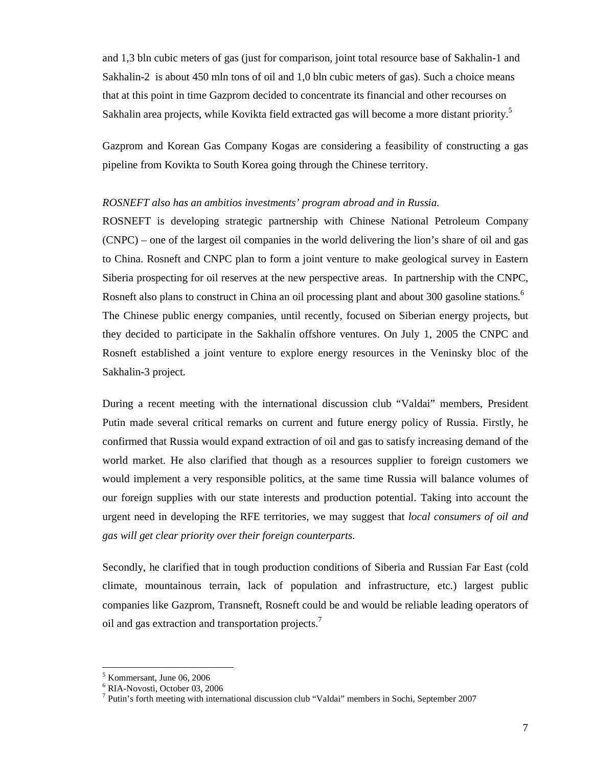and 1,3 bln cubic meters of gas (just for comparison, joint total resource base of Sakhalin-1 and Sakhalin-2 is about 450 mln tons of oil and 1,0 bln cubic meters of gas). Such a choice means that at this point in time Gazprom decided to concentrate its financial and other recourses on Sakhalin area projects, while Kovikta field extracted gas will become a more distant priority.<sup>5</sup>

Gazprom and Korean Gas Company Kogas are considering a feasibility of constructing a gas pipeline from Kovikta to South Korea going through the Chinese territory.

### *ROSNEFT also has an ambitios investments' program abroad and in Russia.*

ROSNEFT is developing strategic partnership with Chinese National Petroleum Company (CNPC) – one of the largest oil companies in the world delivering the lion's share of oil and gas to China. Rosneft and CNPC plan to form a joint venture to make geological survey in Eastern Siberia prospecting for oil reserves at the new perspective areas. In partnership with the CNPC, Rosneft also plans to construct in China an oil processing plant and about 300 gasoline stations.<sup>6</sup> The Chinese public energy companies, until recently, focused on Siberian energy projects, but they decided to participate in the Sakhalin offshore ventures. On July 1, 2005 the CNPC and Rosneft established a joint venture to explore energy resources in the Veninsky bloc of the Sakhalin-3 project.

During a recent meeting with the international discussion club "Valdai" members, President Putin made several critical remarks on current and future energy policy of Russia. Firstly, he confirmed that Russia would expand extraction of oil and gas to satisfy increasing demand of the world market. He also clarified that though as a resources supplier to foreign customers we would implement a very responsible politics, at the same time Russia will balance volumes of our foreign supplies with our state interests and production potential. Taking into account the urgent need in developing the RFE territories, we may suggest that *local consumers of oil and gas will get clear priority over their foreign counterparts.* 

Secondly, he clarified that in tough production conditions of Siberia and Russian Far East (cold climate, mountainous terrain, lack of population and infrastructure, etc.) largest public companies like Gazprom, Transneft, Rosneft could be and would be reliable leading operators of oil and gas extraction and transportation projects.<sup>7</sup>

 $\overline{a}$ 

<sup>5</sup> Kommersant, June 06, 2006

<sup>6</sup> RIA-Novosti, October 03, 2006

<sup>&</sup>lt;sup>7</sup> Putin's forth meeting with international discussion club "Valdai" members in Sochi, September 2007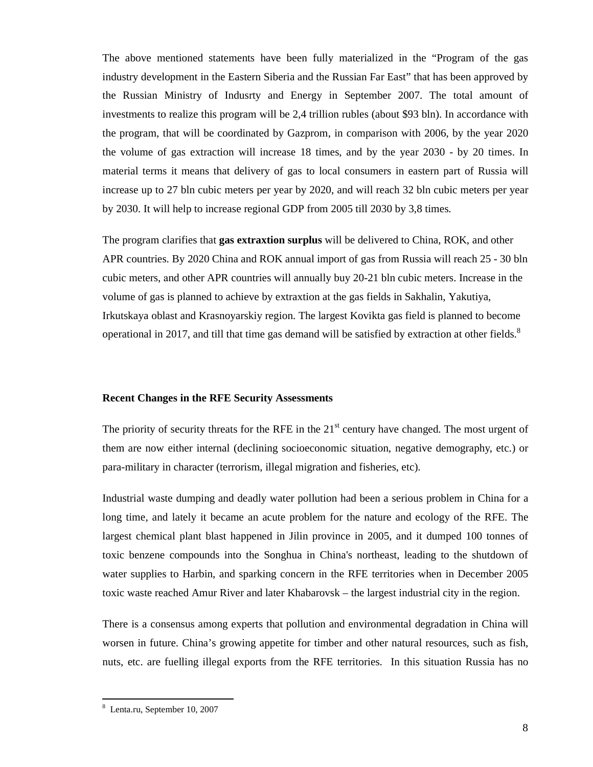The above mentioned statements have been fully materialized in the "Program of the gas industry development in the Eastern Siberia and the Russian Far East" that has been approved by the Russian Ministry of Indusrty and Energy in September 2007. The total amount of investments to realize this program will be 2,4 trillion rubles (about \$93 bln). In accordance with the program, that will be coordinated by Gazprom, in comparison with 2006, by the year 2020 the volume of gas extraction will increase 18 times, and by the year 2030 - by 20 times. In material terms it means that delivery of gas to local consumers in eastern part of Russia will increase up to 27 bln cubic meters per year by 2020, and will reach 32 bln cubic meters per year by 2030. It will help to increase regional GDP from 2005 till 2030 by 3,8 times.

The program clarifies that **gas extraxtion surplus** will be delivered to China, ROK, and other APR countries. By 2020 China and ROK annual import of gas from Russia will reach 25 - 30 bln cubic meters, аnd other APR countries will annually buy 20-21 bln cubic meters. Increase in the volume of gas is planned to achieve by extraxtion at the gas fields in Sakhalin, Yakutiya, Irkutskaya oblast and Krasnoyarskiy region. The largest Kovikta gas field is planned to become operational in 2017, and till that time gas demand will be satisfied by extraction at other fields. $8$ 

### **Recent Changes in the RFE Security Assessments**

The priority of security threats for the RFE in the  $21<sup>st</sup>$  century have changed. The most urgent of them are now either internal (declining socioeconomic situation, negative demography, etc.) or para-military in character (terrorism, illegal migration and fisheries, etc).

Industrial waste dumping and deadly water pollution had been a serious problem in China for a long time, and lately it became an acute problem for the nature and ecology of the RFE. The largest chemical plant blast happened in Jilin province in 2005, and it dumped 100 tonnes of toxic benzene compounds into the Songhua in China's northeast, leading to the shutdown of water supplies to Harbin, and sparking concern in the RFE territories when in December 2005 toxic waste reached Amur River and later Khabarovsk – the largest industrial city in the region.

There is a consensus among experts that pollution and environmental degradation in China will worsen in future. China's growing appetite for timber and other natural resources, such as fish, nuts, etc. are fuelling illegal exports from the RFE territories. In this situation Russia has no

 $\overline{a}$ 

<sup>8</sup> Lenta.ru, September 10, 2007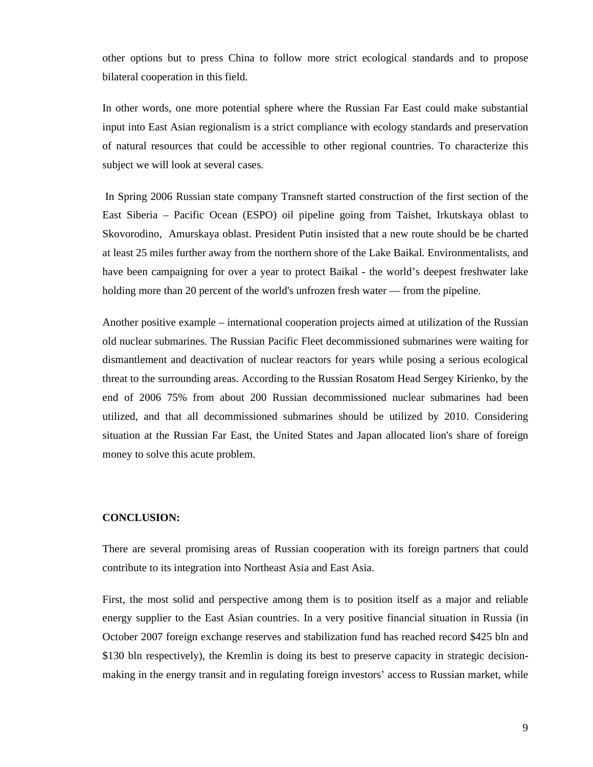other options but to press China to follow more strict ecological standards and to propose bilateral cooperation in this field.

In other words, one more potential sphere where the Russian Far East could make substantial input into East Asian regionalism is a strict compliance with ecology standards and preservation of natural resources that could be accessible to other regional countries. To characterize this subject we will look at several cases.

 In Spring 2006 Russian state company Transneft started construction of the first section of the East Siberia – Pacific Ocean (ESPO) oil pipeline going from Taishet, Irkutskaya oblast to Skovorodino, Amurskaya oblast. President Putin insisted that a new route should be be charted at least 25 miles further away from the northern shore of the Lake Baikal. Environmentalists, and have been campaigning for over a year to protect Baikal - the world's deepest freshwater lake holding more than 20 percent of the world's unfrozen fresh water — from the pipeline.

Another positive example – international cooperation projects aimed at utilization of the Russian old nuclear submarines. The Russian Pacific Fleet decommissioned submarines were waiting for dismantlement and deactivation of nuclear reactors for years while posing a serious ecological threat to the surrounding areas. According to the Russian Rosatom Head Sergey Kirienko, by the end of 2006 75% from about 200 Russian decommissioned nuclear submarines had been utilized, and that all decommissioned submarines should be utilized by 2010. Considering situation at the Russian Far East, the United States and Japan allocated lion's share of foreign money to solve this acute problem.

## **CONCLUSION:**

There are several promising areas of Russian cooperation with its foreign partners that could contribute to its integration into Northeast Asia and East Asia.

First, the most solid and perspective among them is to position itself as a major and reliable energy supplier to the East Asian countries. In a very positive financial situation in Russia (in October 2007 foreign exchange reserves and stabilization fund has reached record \$425 bln and \$130 bln respectively), the Kremlin is doing its best to preserve capacity in strategic decisionmaking in the energy transit and in regulating foreign investors' access to Russian market, while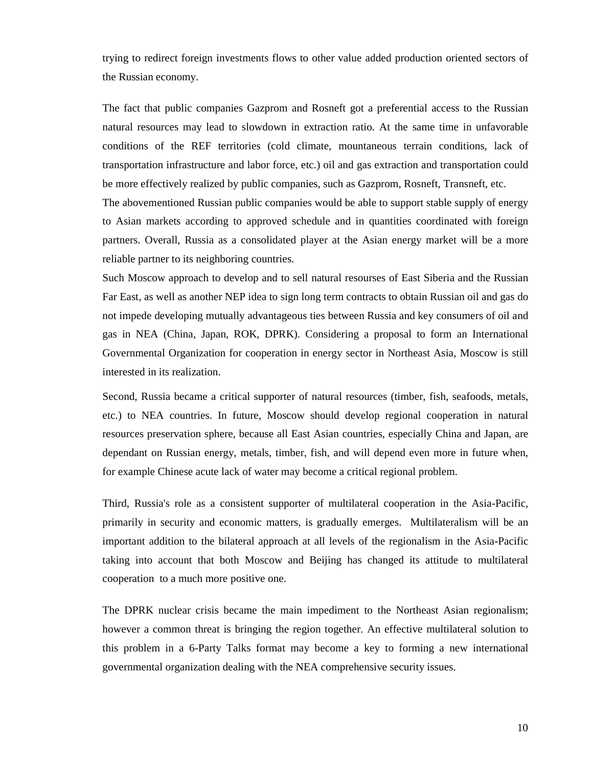trying to redirect foreign investments flows to other value added production oriented sectors of the Russian economy.

The fact that public companies Gazprom and Rosneft got a preferential access to the Russian natural resources may lead to slowdown in extraction ratio. At the same time in unfavorable conditions of the REF territories (cold climate, mountaneous terrain conditions, lack of transportation infrastructure and labor force, etc.) oil and gas extraction and transportation could be more effectively realized by public companies, such as Gazprom, Rosneft, Transneft, etc.

The abovementioned Russian public companies would be able to support stable supply of energy to Asian markets according to approved schedule and in quantities coordinated with foreign partners. Overall, Russia as a consolidated player at the Asian energy market will be a more reliable partner to its neighboring countries.

Such Moscow approach to develop and to sell natural resourses of East Siberia and the Russian Far East, as well as another NEP idea to sign long term contracts to obtain Russian oil and gas do not impede developing mutually advantageous ties between Russia and key consumers of oil and gas in NEA (China, Japan, ROK, DPRK). Considering a proposal to form an International Governmental Organization for cooperation in energy sector in Northeast Asia, Moscow is still interested in its realization.

Second, Russia became a critical supporter of natural resources (timber, fish, seafoods, metals, etc.) to NEA countries. In future, Moscow should develop regional cooperation in natural resources preservation sphere, because all East Asian countries, especially China and Japan, are dependant on Russian energy, metals, timber, fish, and will depend even more in future when, for example Chinese acute lack of water may become a critical regional problem.

Third, Russia's role as a consistent supporter of multilateral cooperation in the Asia-Pacific, primarily in security and economic matters, is gradually emerges. Multilateralism will be an important addition to the bilateral approach at all levels of the regionalism in the Asia-Pacific taking into account that both Moscow and Beijing has changed its attitude to multilateral cooperation to a much more positive one.

The DPRK nuclear crisis became the main impediment to the Northeast Asian regionalism; however a common threat is bringing the region together. An effective multilateral solution to this problem in a 6-Party Talks format may become a key to forming a new international governmental organization dealing with the NEA comprehensive security issues.